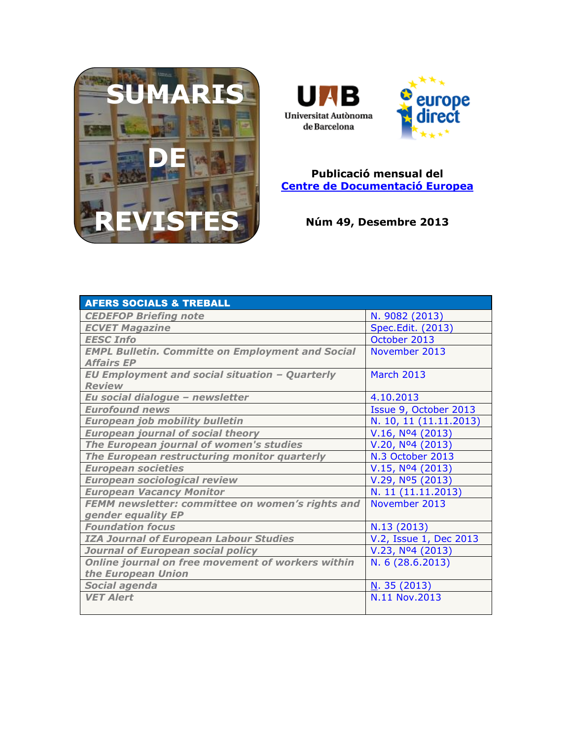



## **Publicació mensual del [Centre de Documentació Europea](http://www.uab.cat/biblioteques/cde/)**

**Núm 49, Desembre 2013**

| <b>AFERS SOCIALS &amp; TREBALL</b>                      |                               |
|---------------------------------------------------------|-------------------------------|
| <b>CEDEFOP Briefing note</b>                            | N. 9082 (2013)                |
| <b>ECVET Magazine</b>                                   | Spec.Edit. (2013)             |
| <b>EESC Info</b>                                        | October 2013                  |
| <b>EMPL Bulletin. Committe on Employment and Social</b> | November 2013                 |
| <b>Affairs EP</b>                                       |                               |
| <b>EU Employment and social situation - Quarterly</b>   | <b>March 2013</b>             |
| <b>Review</b>                                           |                               |
| Eu social dialogue - newsletter                         | 4.10.2013                     |
| <b>Eurofound news</b>                                   | Issue 9, October 2013         |
| <b>European job mobility bulletin</b>                   | N. 10, 11 (11.11.2013)        |
| <b>European journal of social theory</b>                | V.16, N <sup>o</sup> 4 (2013) |
| The European journal of women's studies                 | V.20, Nº4 (2013)              |
| The European restructuring monitor quarterly            | N.3 October 2013              |
| <b>European societies</b>                               | V.15, N <sup>o</sup> 4(2013)  |
| <b>European sociological review</b>                     | V.29, N <sup>o</sup> 5(2013)  |
| <b>European Vacancy Monitor</b>                         | N. 11 (11.11.2013)            |
| FEMM newsletter: committee on women's rights and        | November 2013                 |
| gender equality EP                                      |                               |
| <b>Foundation focus</b>                                 | N.13 (2013)                   |
| <b>IZA Journal of European Labour Studies</b>           | V.2, Issue 1, Dec 2013        |
| Journal of European social policy                       | V.23, N <sup>0</sup> 4(2013)  |
| Online journal on free movement of workers within       | N. 6 (28.6.2013)              |
| the European Union                                      |                               |
| Social agenda                                           | N. 35(2013)                   |
| <b>VET Alert</b>                                        | N.11 Nov.2013                 |
|                                                         |                               |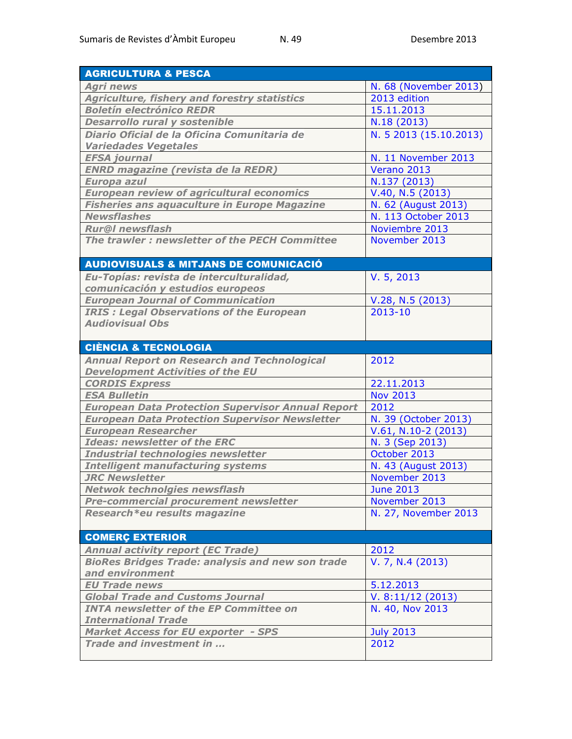| <b>AGRICULTURA &amp; PESCA</b>                                    |                        |
|-------------------------------------------------------------------|------------------------|
| <b>Agri news</b>                                                  | N. 68 (November 2013)  |
| <b>Agriculture, fishery and forestry statistics</b>               | 2013 edition           |
| <b>Boletín electrónico REDR</b>                                   | 15.11.2013             |
| <b>Desarrollo rural y sostenible</b>                              | N.18 (2013)            |
| Diario Oficial de la Oficina Comunitaria de                       | N. 5 2013 (15.10.2013) |
| <b>Variedades Vegetales</b>                                       |                        |
| <b>EFSA</b> journal                                               | N. 11 November 2013    |
| <b>ENRD magazine (revista de la REDR)</b>                         | Verano 2013            |
| Europa azul                                                       | N.137 (2013)           |
| <b>European review of agricultural economics</b>                  | V.40, N.5 (2013)       |
| <b>Fisheries ans aquaculture in Europe Magazine</b>               | N. 62 (August 2013)    |
| <b>Newsflashes</b>                                                | N. 113 October 2013    |
| <b>Rur@I</b> newsflash                                            | Noviembre 2013         |
| The trawler : newsletter of the PECH Committee                    | November 2013          |
|                                                                   |                        |
| <b>AUDIOVISUALS &amp; MITJANS DE COMUNICACIÓ</b>                  |                        |
| Eu-Topías: revista de interculturalidad,                          | V. 5, 2013             |
| comunicación y estudios europeos                                  |                        |
| <b>European Journal of Communication</b>                          | V.28, N.5 (2013)       |
| <b>IRIS: Legal Observations of the European</b>                   | $2013 - 10$            |
| <b>Audiovisual Obs</b>                                            |                        |
|                                                                   |                        |
| <b>CIÈNCIA &amp; TECNOLOGIA</b>                                   |                        |
| <b>Annual Report on Research and Technological</b>                | 2012                   |
| <b>Development Activities of the EU</b>                           |                        |
| <b>CORDIS Express</b>                                             | 22.11.2013             |
| <b>ESA Bulletin</b>                                               | <b>Nov 2013</b>        |
| <b>European Data Protection Supervisor Annual Report</b>          | 2012                   |
| <b>European Data Protection Supervisor Newsletter</b>             | N. 39 (October 2013)   |
| <b>European Researcher</b>                                        | $V.61, N.10-2$ (2013)  |
| <b>Ideas: newsletter of the ERC</b>                               | N. 3 (Sep 2013)        |
| Industrial technologies newsletter                                | October 2013           |
| <b>Intelligent manufacturing systems</b><br><b>JRC Newsletter</b> | N. 43 (August 2013)    |
| <b>Netwok technolgies newsflash</b>                               | November 2013          |
| Pre-commercial procurement newsletter                             | <b>June 2013</b>       |
| Research*eu results magazine                                      | November 2013          |
|                                                                   | N. 27, November 2013   |
| <b>COMERÇ EXTERIOR</b>                                            |                        |
| <b>Annual activity report (EC Trade)</b>                          | 2012                   |
| <b>BioRes Bridges Trade: analysis and new son trade</b>           | V. 7, N.4 (2013)       |
| and environment                                                   |                        |
| <b>EU Trade news</b>                                              | 5.12.2013              |
| <b>Global Trade and Customs Journal</b>                           | V. 8:11/12(2013)       |
| <b>INTA newsletter of the EP Committee on</b>                     | N. 40, Nov 2013        |
| <b>International Trade</b>                                        |                        |
| <b>Market Access for EU exporter - SPS</b>                        | <b>July 2013</b>       |
| Trade and investment in                                           | 2012                   |
|                                                                   |                        |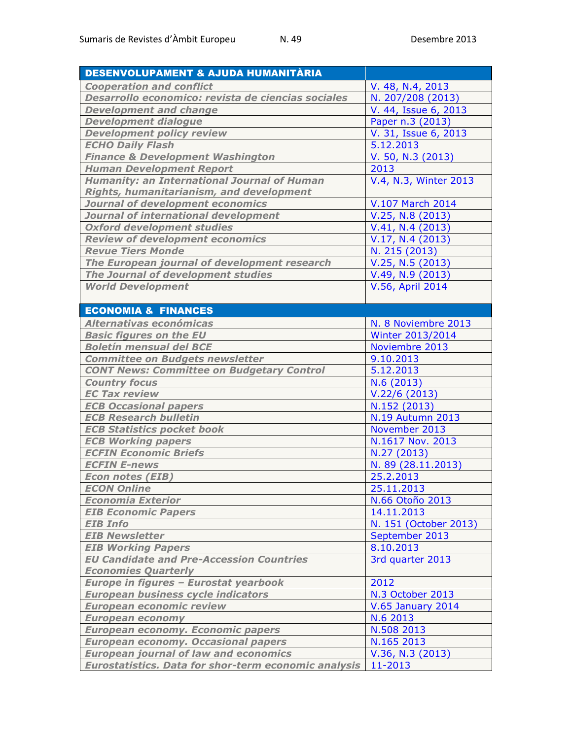| DESENVOLUPAMENT & AJUDA HUMANITÀRIA                                                |                          |
|------------------------------------------------------------------------------------|--------------------------|
| <b>Cooperation and conflict</b>                                                    | V. 48, N.4, 2013         |
| Desarrollo economico: revista de ciencias sociales                                 | N. 207/208 (2013)        |
| <b>Development and change</b>                                                      | V. 44, Issue 6, 2013     |
| <b>Development dialogue</b>                                                        | Paper n.3 (2013)         |
| <b>Development policy review</b>                                                   | V. 31, Issue 6, 2013     |
| <b>ECHO Daily Flash</b>                                                            | 5.12.2013                |
| <b>Finance &amp; Development Washington</b>                                        | V. 50, N.3 (2013)        |
| <b>Human Development Report</b>                                                    | 2013                     |
| <b>Humanity: an International Journal of Human</b>                                 | V.4, N.3, Winter 2013    |
| <b>Rights, humanitarianism, and development</b>                                    |                          |
| <b>Journal of development economics</b>                                            | V.107 March 2014         |
| Journal of international development                                               | $V.25, N.8$ (2013)       |
| <b>Oxford development studies</b>                                                  | V.41, N.4 (2013)         |
| <b>Review of development economics</b>                                             | V.17, N.4 (2013)         |
| <b>Revue Tiers Monde</b>                                                           | N. 215 (2013)            |
| The European journal of development research                                       | V.25, N.5 (2013)         |
| The Journal of development studies                                                 | V.49, N.9 (2013)         |
| <b>World Development</b>                                                           | V.56, April 2014         |
|                                                                                    |                          |
| <b>ECONOMIA &amp; FINANCES</b>                                                     |                          |
| Alternativas económicas                                                            | N. 8 Noviembre 2013      |
| <b>Basic figures on the EU</b>                                                     | Winter 2013/2014         |
| <b>Boletín mensual del BCE</b>                                                     | Noviembre 2013           |
| <b>Committee on Budgets newsletter</b>                                             | 9.10.2013                |
| <b>CONT News: Committee on Budgetary Control</b>                                   | 5.12.2013                |
| <b>Country focus</b>                                                               | N.6(2013)                |
| <b>EC Tax review</b>                                                               | V.22/6(2013)             |
| <b>ECB Occasional papers</b>                                                       | N.152 (2013)             |
| <b>ECB Research bulletin</b>                                                       | <b>N.19 Autumn 2013</b>  |
| <b>ECB Statistics pocket book</b>                                                  | November 2013            |
| <b>ECB Working papers</b>                                                          | N.1617 Nov. 2013         |
| <b>ECFIN Economic Briefs</b>                                                       | N.27 (2013)              |
| <b>ECFIN E-news</b>                                                                | N. 89 (28.11.2013)       |
| <b>Econ notes (EIB)</b>                                                            | 25.2.2013                |
| <b>ECON Online</b>                                                                 | 25.11.2013               |
| <b>Economia Exterior</b>                                                           | N.66 Otoño 2013          |
| <b>EIB Economic Papers</b>                                                         | 14.11.2013               |
| <b>EIB Info</b>                                                                    | N. 151 (October 2013)    |
| <b>EIB Newsletter</b>                                                              | September 2013           |
| <b>EIB Working Papers</b>                                                          | 8.10.2013                |
| <b>EU Candidate and Pre-Accession Countries</b>                                    | 3rd quarter 2013         |
| <b>Economies Quarterly</b>                                                         |                          |
| Europe in figures - Eurostat yearbook<br><b>European business cycle indicators</b> | 2012                     |
|                                                                                    | N.3 October 2013         |
| <b>European economic review</b>                                                    | <b>V.65 January 2014</b> |
| <b>European economy</b><br><b>European economy. Economic papers</b>                | N.6 2013<br>N.508 2013   |
| <b>European economy. Occasional papers</b>                                         | N.165 2013               |
| <b>European journal of law and economics</b>                                       | V.36, N.3 (2013)         |
| <b>Eurostatistics. Data for shor-term economic analysis</b>                        | 11-2013                  |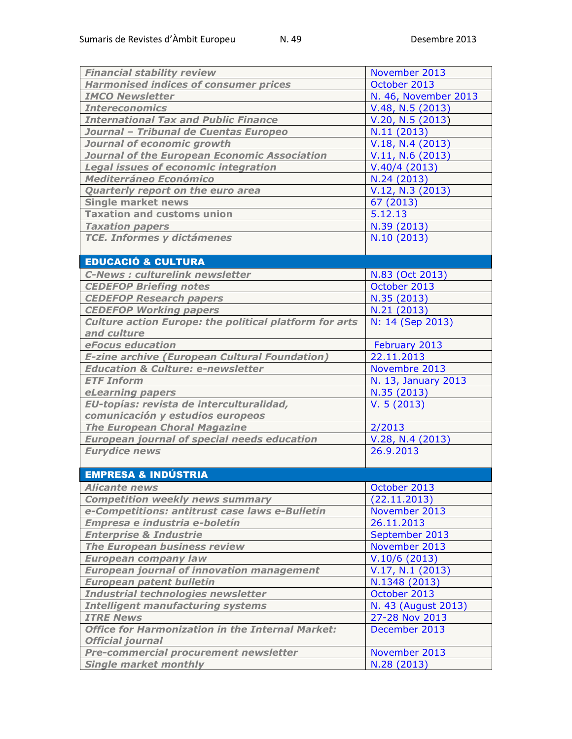| <b>Financial stability review</b>                             | November 2013        |
|---------------------------------------------------------------|----------------------|
| <b>Harmonised indices of consumer prices</b>                  | October 2013         |
| <b>IMCO Newsletter</b>                                        | N. 46, November 2013 |
| <b>Intereconomics</b>                                         | V.48, N.5 (2013)     |
| <b>International Tax and Public Finance</b>                   | V.20, N.5 (2013)     |
| Journal - Tribunal de Cuentas Europeo                         | N.11 (2013)          |
| Journal of economic growth                                    | V.18, N.4 (2013)     |
| Journal of the European Economic Association                  | V.11, N.6 (2013)     |
| <b>Legal issues of economic integration</b>                   | V.40/4(2013)         |
| <b>Mediterráneo Económico</b>                                 | N.24 (2013)          |
| Quarterly report on the euro area                             | V.12, N.3 (2013)     |
| <b>Single market news</b>                                     | 67 (2013)            |
| <b>Taxation and customs union</b>                             | 5.12.13              |
| <b>Taxation papers</b>                                        | N.39 (2013)          |
| <b>TCE. Informes y dictámenes</b>                             | N.10 (2013)          |
|                                                               |                      |
| <b>EDUCACIÓ &amp; CULTURA</b>                                 |                      |
| <b>C-News: culturelink newsletter</b>                         | N.83 (Oct 2013)      |
| <b>CEDEFOP Briefing notes</b>                                 | October 2013         |
| <b>CEDEFOP Research papers</b>                                | N.35 (2013)          |
| <b>CEDEFOP Working papers</b>                                 | N.21 (2013)          |
| <b>Culture action Europe: the political platform for arts</b> | N: 14 (Sep 2013)     |
| and culture                                                   |                      |
| eFocus education                                              | February 2013        |
| <b>E-zine archive (European Cultural Foundation)</b>          | 22.11.2013           |
| <b>Education &amp; Culture: e-newsletter</b>                  | Novembre 2013        |
| <b>ETF Inform</b>                                             | N. 13, January 2013  |
| eLearning papers                                              | N.35(2013)           |
| EU-topías: revista de interculturalidad,                      | V. 5(2013)           |
| comunicación y estudios europeos                              |                      |
| <b>The European Choral Magazine</b>                           | 2/2013               |
| <b>European journal of special needs education</b>            | V.28, N.4 (2013)     |
| <b>Eurydice news</b>                                          | 26.9.2013            |
|                                                               |                      |
| <b>EMPRESA &amp; INDÚSTRIA</b>                                |                      |
| <b>Alicante news</b>                                          | October 2013         |
| <b>Competition weekly news summary</b>                        | (22.11.2013)         |
| e-Competitions: antitrust case laws e-Bulletin                | November 2013        |
| Empresa e industria e-boletín                                 | 26.11.2013           |
| <b>Enterprise &amp; Industrie</b>                             | September 2013       |
| <b>The European business review</b>                           | November 2013        |
| <b>European company law</b>                                   | V.10/6(2013)         |
| <b>European journal of innovation management</b>              | V.17, N.1 (2013)     |
| <b>European patent bulletin</b>                               | N.1348 (2013)        |
| Industrial technologies newsletter                            | October 2013         |
| <b>Intelligent manufacturing systems</b>                      | N. 43 (August 2013)  |
| <b>ITRE News</b>                                              | 27-28 Nov 2013       |
| <b>Office for Harmonization in the Internal Market:</b>       | December 2013        |
| <b>Official journal</b>                                       |                      |
| <b>Pre-commercial procurement newsletter</b>                  | November 2013        |
| <b>Single market monthly</b>                                  | N.28 (2013)          |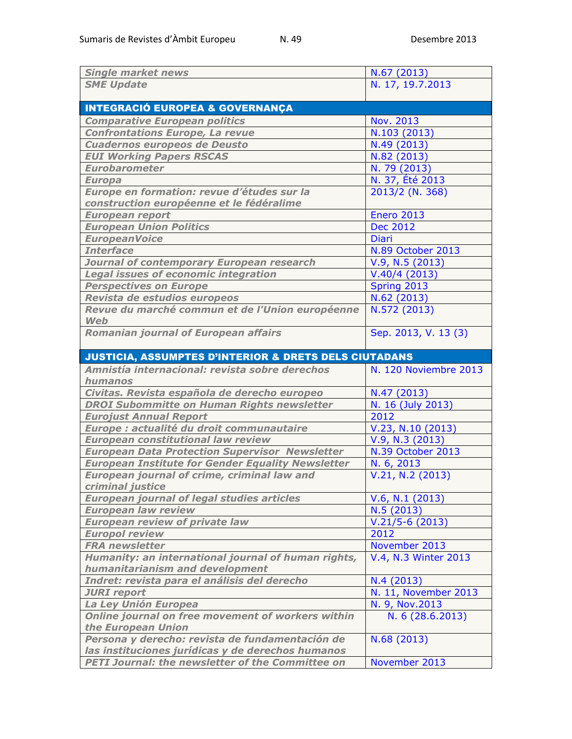| <b>Single market news</b>                                               | N.67 (2013)           |
|-------------------------------------------------------------------------|-----------------------|
| <b>SME Update</b>                                                       | N. 17, 19.7.2013      |
|                                                                         |                       |
| <b>INTEGRACIÓ EUROPEA &amp; GOVERNANÇA</b>                              |                       |
| <b>Comparative European politics</b>                                    | Nov. 2013             |
| <b>Confrontations Europe, La revue</b>                                  | N.103 (2013)          |
| <b>Cuadernos europeos de Deusto</b>                                     | N.49 (2013)           |
| <b>EUI Working Papers RSCAS</b>                                         | N.82 (2013)           |
| <b>Eurobarometer</b>                                                    | N. 79 (2013)          |
| <b>Europa</b>                                                           | N. 37, Été 2013       |
| Europe en formation: revue d'études sur la                              | 2013/2 (N. 368)       |
| construction européenne et le fédéralime                                |                       |
| <b>European report</b>                                                  | <b>Enero 2013</b>     |
| <b>European Union Politics</b>                                          | <b>Dec 2012</b>       |
| <b>EuropeanVoice</b>                                                    | <b>Diari</b>          |
| <b>Interface</b>                                                        | N.89 October 2013     |
| Journal of contemporary European research                               | V.9, N.5 (2013)       |
| <b>Legal issues of economic integration</b>                             | V.40/4(2013)          |
| <b>Perspectives on Europe</b>                                           | Spring 2013           |
| Revista de estudios europeos                                            | N.62 (2013)           |
| Revue du marché commun et de l'Union européenne                         | N.572 (2013)          |
| <b>Web</b>                                                              |                       |
| <b>Romanian journal of European affairs</b>                             | Sep. 2013, V. 13 (3)  |
|                                                                         |                       |
| <b>JUSTICIA, ASSUMPTES D'INTERIOR &amp; DRETS DELS CIUTADANS</b>        |                       |
|                                                                         |                       |
| Amnistía internacional: revista sobre derechos                          | N. 120 Noviembre 2013 |
| humanos                                                                 |                       |
| Civitas. Revista española de derecho europeo                            | N.47 (2013)           |
| <b>DROI Subommitte on Human Rights newsletter</b>                       | N. 16 (July 2013)     |
| <b>Eurojust Annual Report</b>                                           | 2012                  |
| Europe : actualité du droit communautaire                               | V.23, N.10 (2013)     |
| <b>European constitutional law review</b>                               | V.9, N.3 (2013)       |
| <b>European Data Protection Supervisor Newsletter</b>                   | N.39 October 2013     |
| <b>European Institute for Gender Equality Newsletter</b>                | N. 6, 2013            |
| European journal of crime, criminal law and                             | V.21, N.2 (2013)      |
| criminal justice                                                        |                       |
| <b>European journal of legal studies articles</b>                       | V.6, N.1 (2013)       |
| <b>European law review</b>                                              | N.5(2013)             |
| <b>European review of private law</b>                                   | $V.21/5-6(2013)$      |
| <b>Europol review</b>                                                   | 2012                  |
| <b>FRA newsletter</b>                                                   | November 2013         |
| Humanity: an international journal of human rights,                     | V.4, N.3 Winter 2013  |
| humanitarianism and development                                         |                       |
| Indret: revista para el análisis del derecho                            | N.4(2013)             |
| <b>JURI</b> report                                                      | N. 11, November 2013  |
| La Ley Unión Europea                                                    | N. 9, Nov.2013        |
| Online journal on free movement of workers within<br>the European Union | N. 6 (28.6.2013)      |
| Persona y derecho: revista de fundamentación de                         | N.68 (2013)           |
| las instituciones jurídicas y de derechos humanos                       |                       |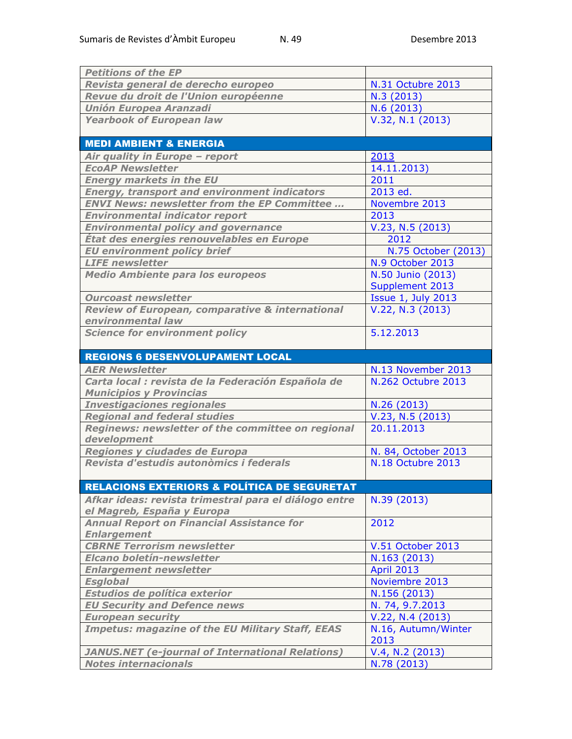| <b>Petitions of the EP</b>                                                          |                             |
|-------------------------------------------------------------------------------------|-----------------------------|
| Revista general de derecho europeo                                                  | N.31 Octubre 2013           |
| Revue du droit de l'Union européenne                                                | N.3 (2013)                  |
| <b>Unión Europea Aranzadi</b>                                                       | N.6(2013)                   |
| <b>Yearbook of European law</b>                                                     | V.32, N.1 (2013)            |
|                                                                                     |                             |
| <b>MEDI AMBIENT &amp; ENERGIA</b>                                                   |                             |
| Air quality in Europe - report                                                      | 2013                        |
| <b>EcoAP Newsletter</b>                                                             | 14.11.2013)                 |
| <b>Energy markets in the EU</b>                                                     | 2011                        |
| <b>Energy, transport and environment indicators</b>                                 | 2013 ed.                    |
| <b>ENVI News: newsletter from the EP Committee</b>                                  | Novembre 2013               |
| <b>Environmental indicator report</b>                                               | 2013                        |
| <b>Environmental policy and governance</b>                                          | V.23, N.5 (2013)            |
| Etat des energies renouvelables en Europe                                           | 2012                        |
| <b>EU environment policy brief</b>                                                  | N.75 October (2013)         |
| <b>LIFE</b> newsletter                                                              | N.9 October 2013            |
| <b>Medio Ambiente para los europeos</b>                                             | N.50 Junio (2013)           |
|                                                                                     | Supplement 2013             |
| <b>Ourcoast newsletter</b>                                                          | <b>Issue 1, July 2013</b>   |
| Review of European, comparative & international                                     | V.22, N.3 (2013)            |
| environmental law                                                                   |                             |
| <b>Science for environment policy</b>                                               | 5.12.2013                   |
|                                                                                     |                             |
| <b>REGIONS 6 DESENVOLUPAMENT LOCAL</b>                                              |                             |
| <b>AER Newsletter</b>                                                               | N.13 November 2013          |
| Carta local : revista de la Federación Española de                                  | N.262 Octubre 2013          |
| <b>Municipios y Provincias</b>                                                      |                             |
| <b>Investigaciones regionales</b>                                                   | N.26 (2013)                 |
| <b>Regional and federal studies</b>                                                 | V.23, N.5 (2013)            |
| Reginews: newsletter of the committee on regional                                   | 20.11.2013                  |
| development                                                                         |                             |
| Regiones y ciudades de Europa                                                       | N. 84, October 2013         |
| Revista d'estudis autonòmics i federals                                             | N.18 Octubre 2013           |
|                                                                                     |                             |
| <b>RELACIONS EXTERIORS &amp; POLÍTICA DE SEGURETAT</b>                              |                             |
| Afkar ideas: revista trimestral para el diálogo entre<br>el Magreb, España y Europa | N.39 (2013)                 |
| <b>Annual Report on Financial Assistance for</b>                                    | 2012                        |
| <b>Enlargement</b>                                                                  |                             |
| <b>CBRNE Terrorism newsletter</b>                                                   | V.51 October 2013           |
| Elcano boletín-newsletter                                                           | N.163 (2013)                |
| <b>Enlargement newsletter</b>                                                       | <b>April 2013</b>           |
| <b>Esglobal</b>                                                                     | Noviembre 2013              |
| Estudios de política exterior                                                       | N.156 (2013)                |
| <b>EU Security and Defence news</b>                                                 | N. 74, 9.7.2013             |
| <b>European security</b>                                                            | V.22, N.4 (2013)            |
| <b>Impetus: magazine of the EU Military Staff, EEAS</b>                             | N.16, Autumn/Winter<br>2013 |
|                                                                                     |                             |
| <b>JANUS.NET</b> (e-journal of International Relations)                             | V.4, N.2 (2013)             |